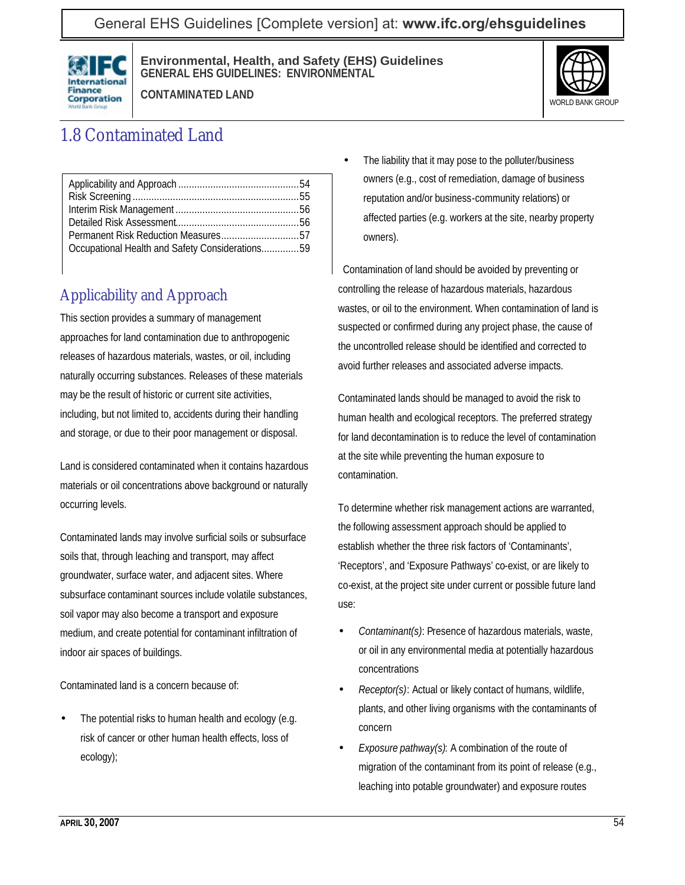General EHS Guidelines [Complete version] at: **[www.ifc.org/ehsguidelines](http://www.ifc.org/ehsguidelines)**



**Environmental, Health, and Safety (EHS) Guidelines GENERAL EHS GUIDELINES: ENVIRONMENTAL**



**CONTAMINATED LAND**

# 1.8 Contaminated Land

| Occupational Health and Safety Considerations59 |  |
|-------------------------------------------------|--|
|                                                 |  |

## Applicability and Approach

This section provides a summary of management approaches for land contamination due to anthropogenic releases of hazardous materials, wastes, or oil, including naturally occurring substances. Releases of these materials may be the result of historic or current site activities, including, but not limited to, accidents during their handling and storage, or due to their poor management or disposal.

Land is considered contaminated when it contains hazardous materials or oil concentrations above background or naturally occurring levels.

Contaminated lands may involve surficial soils or subsurface soils that, through leaching and transport, may affect groundwater, surface water, and adjacent sites. Where subsurface contaminant sources include volatile substances, soil vapor may also become a transport and exposure medium, and create potential for contaminant infiltration of indoor air spaces of buildings.

Contaminated land is a concern because of:

The potential risks to human health and ecology (e.g. risk of cancer or other human health effects, loss of ecology);

The liability that it may pose to the polluter/business owners (e.g., cost of remediation, damage of business reputation and/or business-community relations) or affected parties (e.g. workers at the site, nearby property owners).

Contamination of land should be avoided by preventing or controlling the release of hazardous materials, hazardous wastes, or oil to the environment. When contamination of land is suspected or confirmed during any project phase, the cause of the uncontrolled release should be identified and corrected to avoid further releases and associated adverse impacts.

Contaminated lands should be managed to avoid the risk to human health and ecological receptors. The preferred strategy for land decontamination is to reduce the level of contamination at the site while preventing the human exposure to contamination.

To determine whether risk management actions are warranted, the following assessment approach should be applied to establish whether the three risk factors of 'Contaminants', 'Receptors', and 'Exposure Pathways' co-exist, or are likely to co-exist, at the project site under current or possible future land use:

- *Contaminant(s)*: Presence of hazardous materials, waste, or oil in any environmental media at potentially hazardous concentrations
- *Receptor(s)*: Actual or likely contact of humans, wildlife, plants, and other living organisms with the contaminants of concern
- *Exposure pathway(s)*: A combination of the route of migration of the contaminant from its point of release (e.g., leaching into potable groundwater) and exposure routes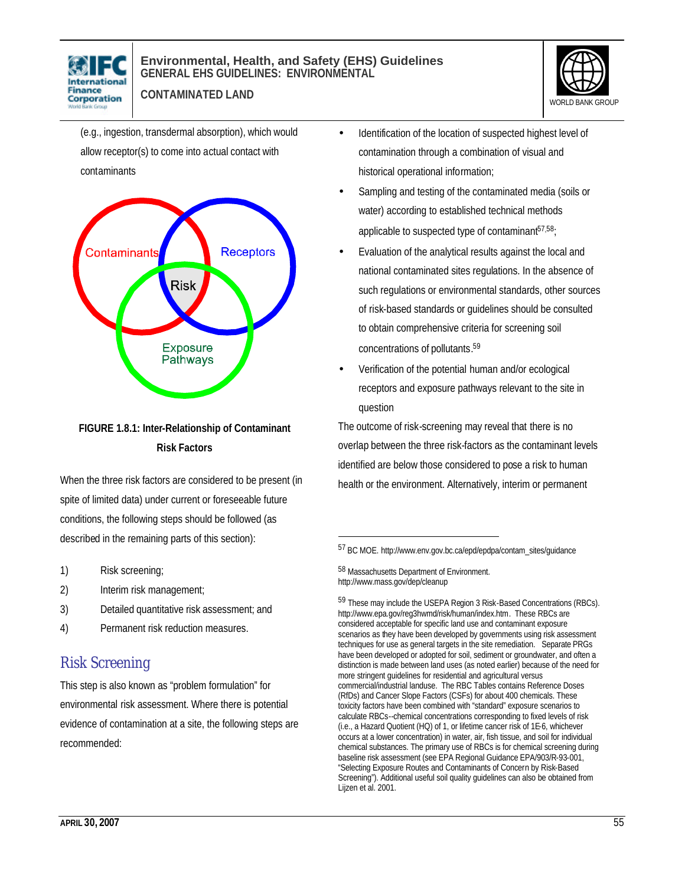



**CONTAMINATED LAND**

(e.g., ingestion, transdermal absorption), which would allow receptor(s) to come into actual contact with contaminants



#### **FIGURE 1.8.1: Inter-Relationship of Contaminant Risk Factors**

When the three risk factors are considered to be present (in spite of limited data) under current or foreseeable future conditions, the following steps should be followed (as described in the remaining parts of this section):

- 1) Risk screening;
- 2) Interim risk management;
- 3) Detailed quantitative risk assessment; and
- 4) Permanent risk reduction measures.

### Risk Screening

This step is also known as "problem formulation" for environmental risk assessment. Where there is potential evidence of contamination at a site, the following steps are recommended:

- Identification of the location of suspected highest level of contamination through a combination of visual and historical operational information;
- Sampling and testing of the contaminated media (soils or water) according to established technical methods applicable to suspected type of contaminant $57,58$ ;
- Evaluation of the analytical results against the local and national contaminated sites regulations. In the absence of such regulations or environmental standards, other sources of risk-based standards or guidelines should be consulted to obtain comprehensive criteria for screening soil concentrations of pollutants. 59
- Verification of the potential human and/or ecological receptors and exposure pathways relevant to the site in question

The outcome of risk-screening may reveal that there is no overlap between the three risk-factors as the contaminant levels identified are below those considered to pose a risk to human health or the environment. Alternatively, interim or permanent

58 Massachusetts Department of Environment. http://www.mass.gov/dep/cleanup

l

59 These may include the USEPA Region 3 Risk-Based Concentrations (RBCs). http://www.epa.gov/reg3hwmd/risk/human/index.htm. These RBCs are considered acceptable for specific land use and contaminant exposure scenarios as they have been developed by governments using risk assessment techniques for use as general targets in the site remediation. Separate PRGs have been developed or adopted for soil, sediment or groundwater, and often a distinction is made between land uses (as noted earlier) because of the need for more stringent guidelines for residential and agricultural versus commercial/industrial landuse. The RBC Tables contains Reference Doses (RfDs) and Cancer Slope Factors (CSFs) for about 400 chemicals. These toxicity factors have been combined with "standard" exposure scenarios to calculate RBCs--chemical concentrations corresponding to fixed levels of risk (i.e., a Hazard Quotient (HQ) of 1, or lifetime cancer risk of 1E-6, whichever occurs at a lower concentration) in water, air, fish tissue, and soil for individual chemical substances. The primary use of RBCs is for chemical screening during baseline risk assessment (see EPA Regional Guidance EPA/903/R-93-001, "Selecting Exposure Routes and Contaminants of Concern by Risk-Based Screening"). Additional useful soil quality guidelines can also be obtained from Lijzen et al. 2001.

<sup>57</sup> BC MOE. http://www.env.gov.bc.ca/epd/epdpa/contam\_sites/guidance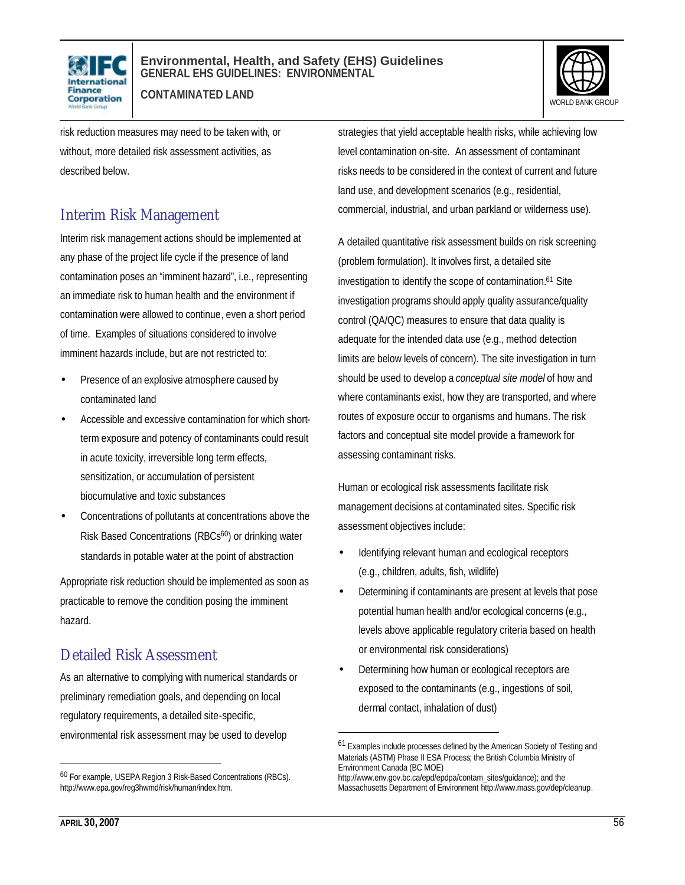

**CONTAMINATED LAND**



risk reduction measures may need to be taken with, or without, more detailed risk assessment activities, as described below.

#### Interim Risk Management

Interim risk management actions should be implemented at any phase of the project life cycle if the presence of land contamination poses an "imminent hazard", i.e., representing an immediate risk to human health and the environment if contamination were allowed to continue, even a short period of time. Examples of situations considered to involve imminent hazards include, but are not restricted to:

- Presence of an explosive atmosphere caused by contaminated land
- Accessible and excessive contamination for which shortterm exposure and potency of contaminants could result in acute toxicity, irreversible long term effects, sensitization, or accumulation of persistent biocumulative and toxic substances
- Concentrations of pollutants at concentrations above the Risk Based Concentrations (RBCs<sup>60</sup>) or drinking water standards in potable water at the point of abstraction

Appropriate risk reduction should be implemented as soon as practicable to remove the condition posing the imminent hazard.

### Detailed Risk Assessment

As an alternative to complying with numerical standards or preliminary remediation goals, and depending on local regulatory requirements, a detailed site-specific, environmental risk assessment may be used to develop

strategies that yield acceptable health risks, while achieving low level contamination on-site. An assessment of contaminant risks needs to be considered in the context of current and future land use, and development scenarios (e.g., residential, commercial, industrial, and urban parkland or wilderness use).

A detailed quantitative risk assessment builds on risk screening (problem formulation). It involves first, a detailed site investigation to identify the scope of contamination.<sup>61</sup> Site investigation programs should apply quality assurance/quality control (QA/QC) measures to ensure that data quality is adequate for the intended data use (e.g., method detection limits are below levels of concern). The site investigation in turn should be used to develop a *conceptual site model* of how and where contaminants exist, how they are transported, and where routes of exposure occur to organisms and humans. The risk factors and conceptual site model provide a framework for assessing contaminant risks.

Human or ecological risk assessments facilitate risk management decisions at contaminated sites. Specific risk assessment objectives include:

- Identifying relevant human and ecological receptors (e.g., children, adults, fish, wildlife)
- Determining if contaminants are present at levels that pose potential human health and/or ecological concerns (e.g., levels above applicable regulatory criteria based on health or environmental risk considerations)
- Determining how human or ecological receptors are exposed to the contaminants (e.g., ingestions of soil, dermal contact, inhalation of dust)

 $\overline{a}$ 

 $\overline{a}$ 

<sup>60</sup> For example, USEPA Region 3 Risk-Based Concentrations (RBCs). http://www.epa.gov/reg3hwmd/risk/human/index.htm.

<sup>61</sup> Examples include processes defined by the American Society of Testing and Materials (ASTM) Phase II ESA Process; the British Columbia Ministry of Environment Canada (BC MOE)

http://www.env.gov.bc.ca/epd/epdpa/contam\_sites/guidance); and the Massachusetts Department of Environment http://www.mass.gov/dep/cleanup.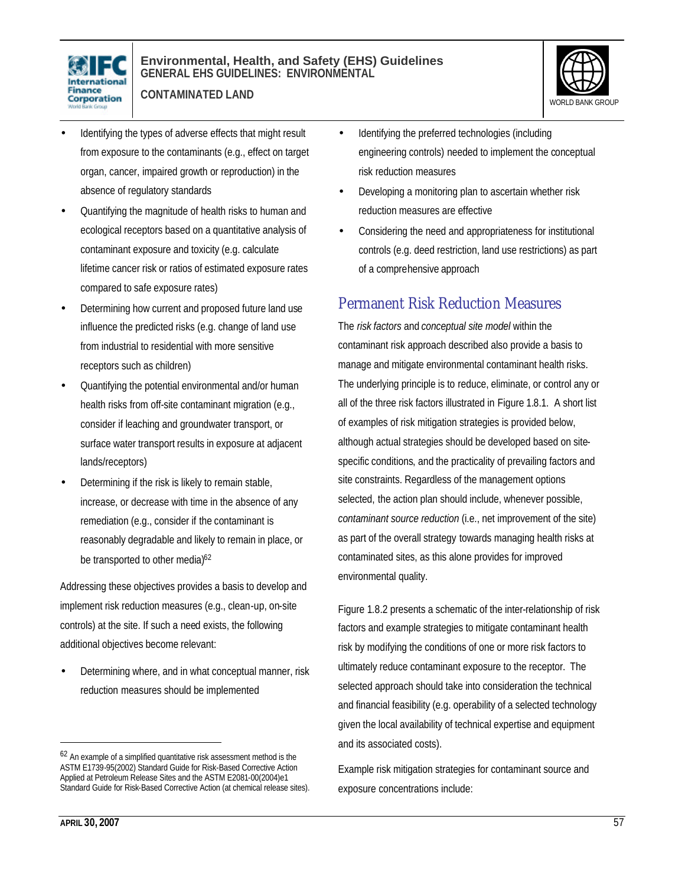

**CONTAMINATED LAND**



- Identifying the types of adverse effects that might result from exposure to the contaminants (e.g., effect on target organ, cancer, impaired growth or reproduction) in the absence of regulatory standards
- Quantifying the magnitude of health risks to human and ecological receptors based on a quantitative analysis of contaminant exposure and toxicity (e.g. calculate lifetime cancer risk or ratios of estimated exposure rates compared to safe exposure rates)
- Determining how current and proposed future land use influence the predicted risks (e.g. change of land use from industrial to residential with more sensitive receptors such as children)
- Quantifying the potential environmental and/or human health risks from off-site contaminant migration (e.g., consider if leaching and groundwater transport, or surface water transport results in exposure at adjacent lands/receptors)
- Determining if the risk is likely to remain stable, increase, or decrease with time in the absence of any remediation (e.g., consider if the contaminant is reasonably degradable and likely to remain in place, or be transported to other media)<sup>62</sup>

Addressing these objectives provides a basis to develop and implement risk reduction measures (e.g., clean-up, on-site controls) at the site. If such a need exists, the following additional objectives become relevant:

• Determining where, and in what conceptual manner, risk reduction measures should be implemented

- Identifying the preferred technologies (including engineering controls) needed to implement the conceptual risk reduction measures
- Developing a monitoring plan to ascertain whether risk reduction measures are effective
- Considering the need and appropriateness for institutional controls (e.g. deed restriction, land use restrictions) as part of a comprehensive approach

### Permanent Risk Reduction Measures

The *risk factors* and *conceptual site model* within the contaminant risk approach described also provide a basis to manage and mitigate environmental contaminant health risks. The underlying principle is to reduce, eliminate, or control any or all of the three risk factors illustrated in Figure 1.8.1. A short list of examples of risk mitigation strategies is provided below, although actual strategies should be developed based on sitespecific conditions, and the practicality of prevailing factors and site constraints. Regardless of the management options selected, the action plan should include, whenever possible, *contaminant source reduction* (i.e., net improvement of the site) as part of the overall strategy towards managing health risks at contaminated sites, as this alone provides for improved environmental quality.

Figure 1.8.2 presents a schematic of the inter-relationship of risk factors and example strategies to mitigate contaminant health risk by modifying the conditions of one or more risk factors to ultimately reduce contaminant exposure to the receptor. The selected approach should take into consideration the technical and financial feasibility (e.g. operability of a selected technology given the local availability of technical expertise and equipment and its associated costs).

Example risk mitigation strategies for contaminant source and exposure concentrations include:

 $\overline{a}$ 

<sup>&</sup>lt;sup>62</sup> An example of a simplified quantitative risk assessment method is the ASTM E1739-95(2002) Standard Guide for Risk-Based Corrective Action Applied at Petroleum Release Sites and the ASTM E2081-00(2004)e1 Standard Guide for Risk-Based Corrective Action (at chemical release sites).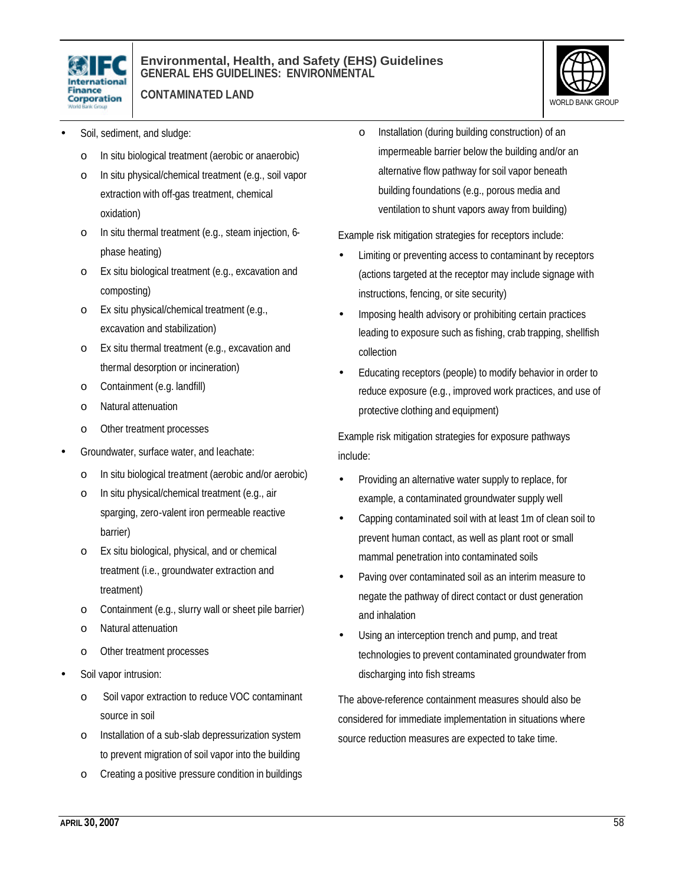

**CONTAMINATED LAND**



- Soil, sediment, and sludge:
	- o In situ biological treatment (aerobic or anaerobic)
	- o In situ physical/chemical treatment (e.g., soil vapor extraction with off-gas treatment, chemical oxidation)
	- o In situ thermal treatment (e.g., steam injection, 6 phase heating)
	- o Ex situ biological treatment (e.g., excavation and composting)
	- o Ex situ physical/chemical treatment (e.g., excavation and stabilization)
	- o Ex situ thermal treatment (e.g., excavation and thermal desorption or incineration)
	- o Containment (e.g. landfill)
	- o Natural attenuation
	- o Other treatment processes
- Groundwater, surface water, and leachate:
	- o In situ biological treatment (aerobic and/or aerobic)
	- o In situ physical/chemical treatment (e.g., air sparging, zero-valent iron permeable reactive barrier)
	- o Ex situ biological, physical, and or chemical treatment (i.e., groundwater extraction and treatment)
	- o Containment (e.g., slurry wall or sheet pile barrier)
	- o Natural attenuation
	- o Other treatment processes
- Soil vapor intrusion:
	- o Soil vapor extraction to reduce VOC contaminant source in soil
	- o Installation of a sub-slab depressurization system to prevent migration of soil vapor into the building
	- o Creating a positive pressure condition in buildings

o Installation (during building construction) of an impermeable barrier below the building and/or an alternative flow pathway for soil vapor beneath building foundations (e.g., porous media and ventilation to shunt vapors away from building)

Example risk mitigation strategies for receptors include:

- Limiting or preventing access to contaminant by receptors (actions targeted at the receptor may include signage with instructions, fencing, or site security)
- Imposing health advisory or prohibiting certain practices leading to exposure such as fishing, crab trapping, shellfish collection
- Educating receptors (people) to modify behavior in order to reduce exposure (e.g., improved work practices, and use of protective clothing and equipment)

Example risk mitigation strategies for exposure pathways include:

- Providing an alternative water supply to replace, for example, a contaminated groundwater supply well
- Capping contaminated soil with at least 1m of clean soil to prevent human contact, as well as plant root or small mammal penetration into contaminated soils
- Paving over contaminated soil as an interim measure to negate the pathway of direct contact or dust generation and inhalation
- Using an interception trench and pump, and treat technologies to prevent contaminated groundwater from discharging into fish streams

The above-reference containment measures should also be considered for immediate implementation in situations where source reduction measures are expected to take time.